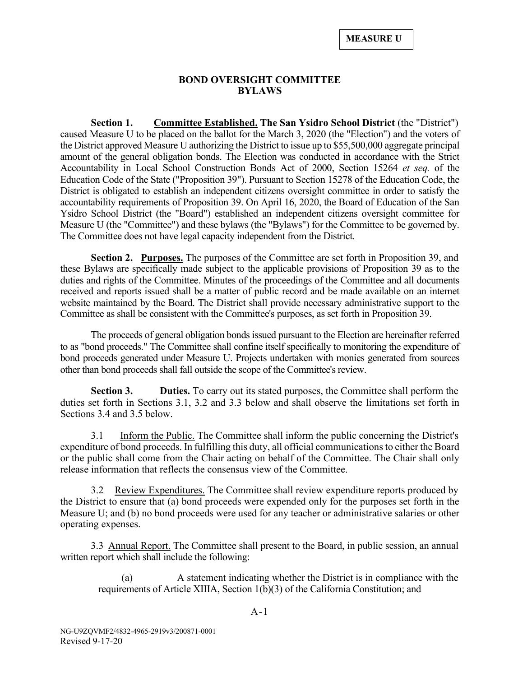### **BOND OVERSIGHT COMMITTEE BYLAWS**

**Section 1. Committee Established. The San Ysidro School District** (the "District") caused Measure U to be placed on the ballot for the March 3, 2020 (the "Election") and the voters of the District approved Measure U authorizing the District to issue up to \$55,500,000 aggregate principal amount of the general obligation bonds. The Election was conducted in accordance with the Strict Accountability in Local School Construction Bonds Act of 2000, Section 15264 *et seq.* of the Education Code of the State ("Proposition 39"). Pursuant to Section 15278 of the Education Code, the District is obligated to establish an independent citizens oversight committee in order to satisfy the accountability requirements of Proposition 39. On April 16, 2020, the Board of Education of the San Ysidro School District (the "Board") established an independent citizens oversight committee for Measure U (the "Committee") and these bylaws (the "Bylaws") for the Committee to be governed by. The Committee does not have legal capacity independent from the District.

**Section 2. Purposes.** The purposes of the Committee are set forth in Proposition 39, and these Bylaws are specifically made subject to the applicable provisions of Proposition 39 as to the duties and rights of the Committee. Minutes of the proceedings of the Committee and all documents received and reports issued shall be a matter of public record and be made available on an internet website maintained by the Board. The District shall provide necessary administrative support to the Committee as shall be consistent with the Committee's purposes, as set forth in Proposition 39.

The proceeds of general obligation bonds issued pursuant to the Election are hereinafter referred to as "bond proceeds." The Committee shall confine itself specifically to monitoring the expenditure of bond proceeds generated under Measure U. Projects undertaken with monies generated from sources other than bond proceeds shall fall outside the scope of the Committee's review.

**Section 3. Duties.** To carry out its stated purposes, the Committee shall perform the duties set forth in Sections 3.1, 3.2 and 3.3 below and shall observe the limitations set forth in Sections 3.4 and 3.5 below.

3.1 Inform the Public. The Committee shall inform the public concerning the District's expenditure of bond proceeds. In fulfilling this duty, all official communications to either the Board or the public shall come from the Chair acting on behalf of the Committee. The Chair shall only release information that reflects the consensus view of the Committee.

3.2 Review Expenditures. The Committee shall review expenditure reports produced by the District to ensure that (a) bond proceeds were expended only for the purposes set forth in the Measure U; and (b) no bond proceeds were used for any teacher or administrative salaries or other operating expenses.

3.3 Annual Report. The Committee shall present to the Board, in public session, an annual written report which shall include the following:

(a) A statement indicating whether the District is in compliance with the requirements of Article XIIIA, Section 1(b)(3) of the California Constitution; and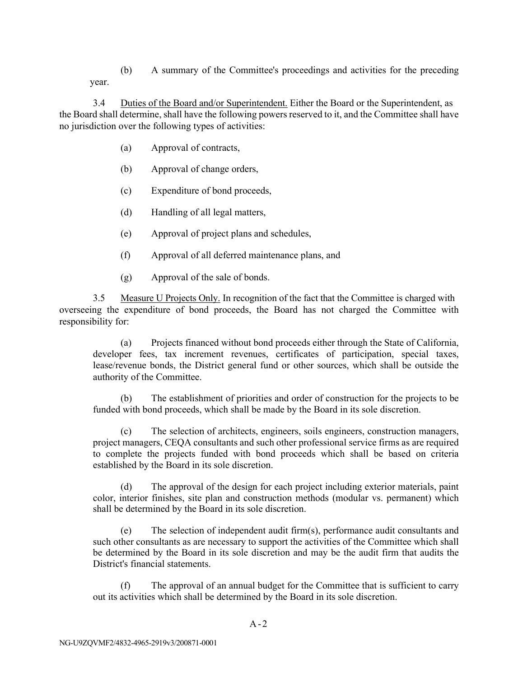(b) A summary of the Committee's proceedings and activities for the preceding year.

3.4 Duties of the Board and/or Superintendent. Either the Board or the Superintendent, as the Board shall determine, shall have the following powers reserved to it, and the Committee shall have no jurisdiction over the following types of activities:

- (a) Approval of contracts,
- (b) Approval of change orders,
- (c) Expenditure of bond proceeds,
- (d) Handling of all legal matters,
- (e) Approval of project plans and schedules,
- (f) Approval of all deferred maintenance plans, and
- (g) Approval of the sale of bonds.

3.5 Measure U Projects Only. In recognition of the fact that the Committee is charged with overseeing the expenditure of bond proceeds, the Board has not charged the Committee with responsibility for:

(a) Projects financed without bond proceeds either through the State of California, developer fees, tax increment revenues, certificates of participation, special taxes, lease/revenue bonds, the District general fund or other sources, which shall be outside the authority of the Committee.

(b) The establishment of priorities and order of construction for the projects to be funded with bond proceeds, which shall be made by the Board in its sole discretion.

(c) The selection of architects, engineers, soils engineers, construction managers, project managers, CEQA consultants and such other professional service firms as are required to complete the projects funded with bond proceeds which shall be based on criteria established by the Board in its sole discretion.

(d) The approval of the design for each project including exterior materials, paint color, interior finishes, site plan and construction methods (modular vs. permanent) which shall be determined by the Board in its sole discretion.

(e) The selection of independent audit firm(s), performance audit consultants and such other consultants as are necessary to support the activities of the Committee which shall be determined by the Board in its sole discretion and may be the audit firm that audits the District's financial statements.

(f) The approval of an annual budget for the Committee that is sufficient to carry out its activities which shall be determined by the Board in its sole discretion.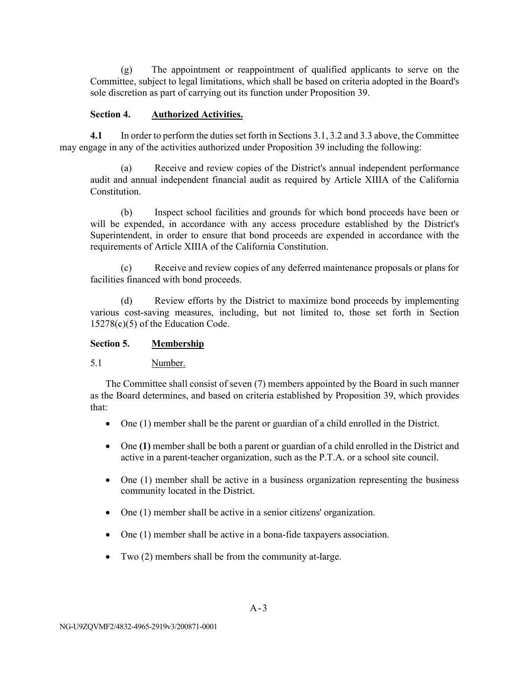(g) The appointment or reappointment of qualified applicants to serve on the Committee, subject to legal limitations, which shall be based on criteria adopted in the Board's sole discretion as part of carrying out its function under Proposition 39.

### **Section 4. Authorized Activities.**

**4.1** In order to perform the duties set forth in Sections 3.1, 3.2 and 3.3 above, the Committee may engage in any of the activities authorized under Proposition 39 including the following:

(a) Receive and review copies of the District's annual independent performance audit and annual independent financial audit as required by Article XIIIA of the California Constitution.

(b) Inspect school facilities and grounds for which bond proceeds have been or will be expended, in accordance with any access procedure established by the District's Superintendent, in order to ensure that bond proceeds are expended in accordance with the requirements of Article XIIIA of the California Constitution.

(c) Receive and review copies of any deferred maintenance proposals or plans for facilities financed with bond proceeds.

(d) Review efforts by the District to maximize bond proceeds by implementing various cost-saving measures, including, but not limited to, those set forth in Section 15278(c)(5) of the Education Code.

## **Section 5. Membership**

# 5.1 Number.

The Committee shall consist of seven (7) members appointed by the Board in such manner as the Board determines, and based on criteria established by Proposition 39, which provides that:

- One (1) member shall be the parent or guardian of a child enrolled in the District.
- One **(1)** member shall be both a parent or guardian of a child enrolled in the District and active in a parent-teacher organization, such as the P.T.A. or a school site council.
- One (1) member shall be active in a business organization representing the business community located in the District.
- One (1) member shall be active in a senior citizens' organization.
- One (1) member shall be active in a bona-fide taxpayers association.
- Two (2) members shall be from the community at-large.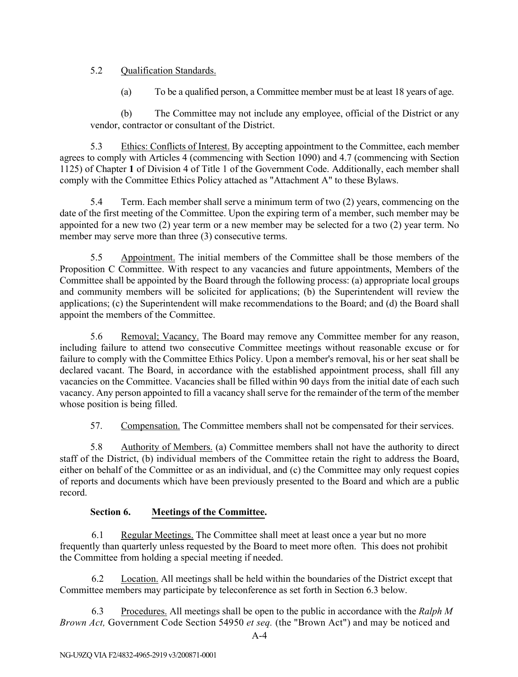# 5.2 Qualification Standards.

(a) To be a qualified person, a Committee member must be at least 18 years of age.

(b) The Committee may not include any employee, official of the District or any vendor, contractor or consultant of the District.

5.3 Ethics: Conflicts of Interest. By accepting appointment to the Committee, each member agrees to comply with Articles 4 (commencing with Section 1090) and 4.7 (commencing with Section 1125) of Chapter **1** of Division 4 of Title 1 of the Government Code. Additionally, each member shall comply with the Committee Ethics Policy attached as "Attachment A" to these Bylaws.

5.4 Term. Each member shall serve a minimum term of two (2) years, commencing on the date of the first meeting of the Committee. Upon the expiring term of a member, such member may be appointed for a new two (2) year term or a new member may be selected for a two (2) year term. No member may serve more than three (3) consecutive terms.

5.5 Appointment. The initial members of the Committee shall be those members of the Proposition C Committee. With respect to any vacancies and future appointments, Members of the Committee shall be appointed by the Board through the following process: (a) appropriate local groups and community members will be solicited for applications; (b) the Superintendent will review the applications; (c) the Superintendent will make recommendations to the Board; and (d) the Board shall appoint the members of the Committee.

5.6 Removal; Vacancy. The Board may remove any Committee member for any reason, including failure to attend two consecutive Committee meetings without reasonable excuse or for failure to comply with the Committee Ethics Policy. Upon a member's removal, his or her seat shall be declared vacant. The Board, in accordance with the established appointment process, shall fill any vacancies on the Committee. Vacancies shall be filled within 90 days from the initial date of each such vacancy. Any person appointed to fill a vacancy shall serve for the remainder of the term of the member whose position is being filled.

57. Compensation. The Committee members shall not be compensated for their services.

5.8 Authority of Members. (a) Committee members shall not have the authority to direct staff of the District, (b) individual members of the Committee retain the right to address the Board, either on behalf of the Committee or as an individual, and (c) the Committee may only request copies of reports and documents which have been previously presented to the Board and which are a public record.

# **Section 6. Meetings of the Committee.**

6.1 Regular Meetings. The Committee shall meet at least once a year but no more frequently than quarterly unless requested by the Board to meet more often. This does not prohibit the Committee from holding a special meeting if needed.

6.2 Location. All meetings shall be held within the boundaries of the District except that Committee members may participate by teleconference as set forth in Section 6.3 below.

6.3 Procedures. All meetings shall be open to the public in accordance with the *Ralph M Brown Act,* Government Code Section 54950 *et seq.* (the "Brown Act") and may be noticed and